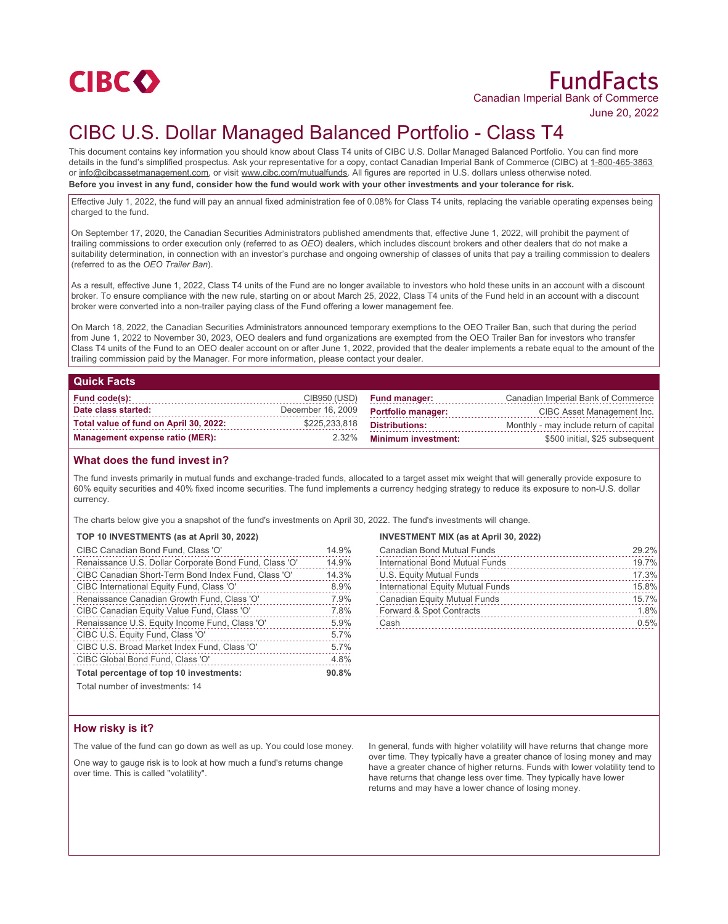

# FundFacts Canadian Imperial Bank of Commerce

June 20, 2022

# CIBC U.S. Dollar Managed Balanced Portfolio - Class T4

This document contains key information you should know about Class T4 units of CIBC U.S. Dollar Managed Balanced Portfolio. You can find more details in the fund's simplified prospectus. Ask your representative for a copy, contact Canadian Imperial Bank of Commerce (CIBC) at 1-800-465-3863 or info@cibcassetmanagement.com, or visit www.cibc.com/mutualfunds. All figures are reported in U.S. dollars unless otherwise noted. **Before you invest in any fund, consider how the fund would work with your other investments and your tolerance for risk.**

Effective July 1, 2022, the fund will pay an annual fixed administration fee of 0.08% for Class T4 units, replacing the variable operating expenses being charged to the fund.

On September 17, 2020, the Canadian Securities Administrators published amendments that, effective June 1, 2022, will prohibit the payment of trailing commissions to order execution only (referred to as *OEO*) dealers, which includes discount brokers and other dealers that do not make a suitability determination, in connection with an investor's purchase and ongoing ownership of classes of units that pay a trailing commission to dealers (referred to as the *OEO Trailer Ban*).

As a result, effective June 1, 2022, Class T4 units of the Fund are no longer available to investors who hold these units in an account with a discount broker. To ensure compliance with the new rule, starting on or about March 25, 2022, Class T4 units of the Fund held in an account with a discount broker were converted into a non-trailer paying class of the Fund offering a lower management fee.

On March 18, 2022, the Canadian Securities Administrators announced temporary exemptions to the OEO Trailer Ban, such that during the period from June 1, 2022 to November 30, 2023, OEO dealers and fund organizations are exempted from the OEO Trailer Ban for investors who transfer Class T4 units of the Fund to an OEO dealer account on or after June 1, 2022, provided that the dealer implements a rebate equal to the amount of the trailing commission paid by the Manager. For more information, please contact your dealer.

# **Quick Facts**

| Fund code(s):                          | CIB950 (USD)      | <b>Fund manager:</b>       | Canadian Imperial Bank of Commerce      |
|----------------------------------------|-------------------|----------------------------|-----------------------------------------|
| Date class started:                    | December 16, 2009 | <b>Portfolio manager:</b>  | CIBC Asset Management Inc.              |
| Total value of fund on April 30, 2022: | \$225,233,818     | <b>Distributions:</b>      | Monthly - may include return of capital |
| Management expense ratio (MER):        | $2.32\%$          | <b>Minimum investment:</b> | \$500 initial, \$25 subsequent          |

### **What does the fund invest in?**

The fund invests primarily in mutual funds and exchange-traded funds, allocated to a target asset mix weight that will generally provide exposure to 60% equity securities and 40% fixed income securities. The fund implements a currency hedging strategy to reduce its exposure to non-U.S. dollar currency.

The charts below give you a snapshot of the fund's investments on April 30, 2022. The fund's investments will change.

#### **TOP 10 INVESTMENTS (as at April 30, 2022)**

| CIBC Canadian Bond Fund, Class 'O'                     | 14.9% |
|--------------------------------------------------------|-------|
| Renaissance U.S. Dollar Corporate Bond Fund, Class 'O' | 14.9% |
| CIBC Canadian Short-Term Bond Index Fund, Class 'O'    | 14.3% |
| CIBC International Equity Fund, Class 'O'              | 8.9%  |
| Renaissance Canadian Growth Fund, Class 'O'            | 7.9%  |
| CIBC Canadian Equity Value Fund, Class 'O'             | 7.8%  |
| Renaissance U.S. Equity Income Fund, Class 'O'         | 5.9%  |
| CIBC U.S. Equity Fund, Class 'O'                       | 5.7%  |
| CIBC U.S. Broad Market Index Fund, Class 'O'           | 5.7%  |
| CIBC Global Bond Fund, Class 'O'                       | 4.8%  |
| Total percentage of top 10 investments:                | 90.8% |

# **INVESTMENT MIX (as at April 30, 2022)**

| <b>Canadian Bond Mutual Funds</b>   | 29.2% |
|-------------------------------------|-------|
| International Bond Mutual Funds     | 19.7% |
| U.S. Equity Mutual Funds            | 17.3% |
| International Equity Mutual Funds   | 15.8% |
| <b>Canadian Equity Mutual Funds</b> | 15.7% |
| Forward & Spot Contracts            | 1.8%  |
| Cash                                | 0.5%  |

Total number of investments: 14

# **How risky is it?**

The value of the fund can go down as well as up. You could lose money.

One way to gauge risk is to look at how much a fund's returns change over time. This is called "volatility".

In general, funds with higher volatility will have returns that change more over time. They typically have a greater chance of losing money and may have a greater chance of higher returns. Funds with lower volatility tend to have returns that change less over time. They typically have lower returns and may have a lower chance of losing money.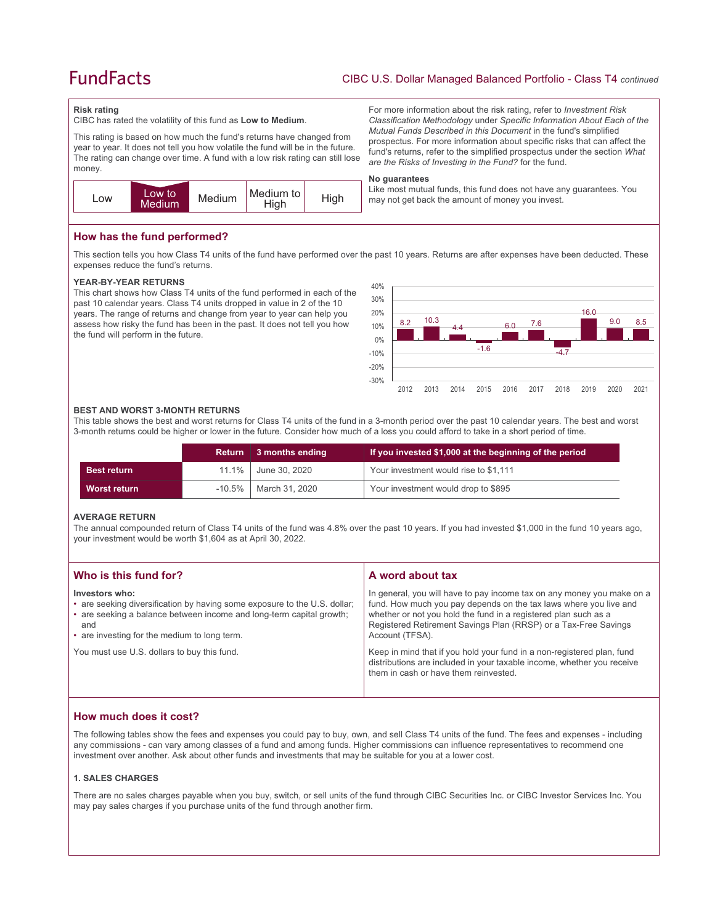# **FundFacts**

#### **Risk rating**

CIBC has rated the volatility of this fund as **Low to Medium**.

This rating is based on how much the fund's returns have changed from year to year. It does not tell you how volatile the fund will be in the future. The rating can change over time. A fund with a low risk rating can still lose money.



For more information about the risk rating, refer to *Investment Risk Classification Methodology* under *Specific Information About Each of the Mutual Funds Described in this Document* in the fund's simplified prospectus. For more information about specific risks that can affect the fund's returns, refer to the simplified prospectus under the section *What are the Risks of Investing in the Fund?* for the fund.

#### **No guarantees**

Like most mutual funds, this fund does not have any guarantees. You may not get back the amount of money you invest.

# **How has the fund performed?**

This section tells you how Class T4 units of the fund have performed over the past 10 years. Returns are after expenses have been deducted. These expenses reduce the fund's returns.

#### **YEAR-BY-YEAR RETURNS**

This chart shows how Class T4 units of the fund performed in each of the past 10 calendar years. Class T4 units dropped in value in 2 of the 10 years. The range of returns and change from year to year can help you assess how risky the fund has been in the past. It does not tell you how the fund will perform in the future.



#### **BEST AND WORST 3-MONTH RETURNS**

This table shows the best and worst returns for Class T4 units of the fund in a 3-month period over the past 10 calendar years. The best and worst 3-month returns could be higher or lower in the future. Consider how much of a loss you could afford to take in a short period of time.

|                    | <b>Return</b> | 3 months ending       | If you invested \$1,000 at the beginning of the period |
|--------------------|---------------|-----------------------|--------------------------------------------------------|
| <b>Best return</b> |               | 11.1%   June 30, 2020 | Your investment would rise to \$1,111                  |
| Worst return       | $-10.5\%$     | March 31, 2020        | Your investment would drop to \$895                    |

#### **AVERAGE RETURN**

The annual compounded return of Class T4 units of the fund was 4.8% over the past 10 years. If you had invested \$1,000 in the fund 10 years ago, your investment would be worth \$1,604 as at April 30, 2022.

| Who is this fund for?                                                                                                                                                                                                      | A word about tax                                                                                                                                                                                                                                                                                     |
|----------------------------------------------------------------------------------------------------------------------------------------------------------------------------------------------------------------------------|------------------------------------------------------------------------------------------------------------------------------------------------------------------------------------------------------------------------------------------------------------------------------------------------------|
| Investors who:<br>• are seeking diversification by having some exposure to the U.S. dollar;<br>• are seeking a balance between income and long-term capital growth;<br>and<br>• are investing for the medium to long term. | In general, you will have to pay income tax on any money you make on a<br>fund. How much you pay depends on the tax laws where you live and<br>whether or not you hold the fund in a registered plan such as a<br>Registered Retirement Savings Plan (RRSP) or a Tax-Free Savings<br>Account (TFSA). |
| You must use U.S. dollars to buy this fund.                                                                                                                                                                                | Keep in mind that if you hold your fund in a non-registered plan, fund<br>distributions are included in your taxable income, whether you receive<br>them in cash or have them reinvested.                                                                                                            |

# **How much does it cost?**

The following tables show the fees and expenses you could pay to buy, own, and sell Class T4 units of the fund. The fees and expenses - including any commissions - can vary among classes of a fund and among funds. Higher commissions can influence representatives to recommend one investment over another. Ask about other funds and investments that may be suitable for you at a lower cost.

#### **1. SALES CHARGES**

There are no sales charges payable when you buy, switch, or sell units of the fund through CIBC Securities Inc. or CIBC Investor Services Inc. You may pay sales charges if you purchase units of the fund through another firm.